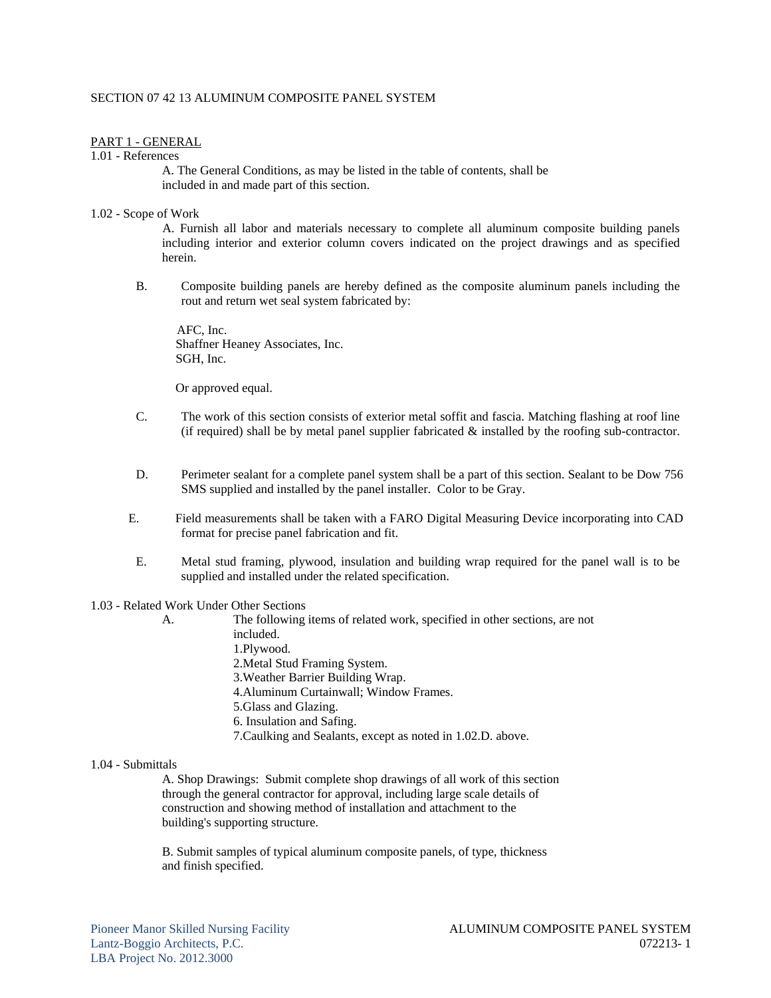## SECTION 07 42 13 ALUMINUM COMPOSITE PANEL SYSTEM

## PART 1 - GENERAL

1.01 - References

 A. The General Conditions, as may be listed in the table of contents, shall be included in and made part of this section.

## 1.02 - Scope of Work

A. Furnish all labor and materials necessary to complete all aluminum composite building panels including interior and exterior column covers indicated on the project drawings and as specified herein.

B. Composite building panels are hereby defined as the composite aluminum panels including the rout and return wet seal system fabricated by:

 AFC, Inc. Shaffner Heaney Associates, Inc. SGH, Inc.

Or approved equal.

- C. The work of this section consists of exterior metal soffit and fascia. Matching flashing at roof line (if required) shall be by metal panel supplier fabricated  $\&$  installed by the roofing sub-contractor.
- D. Perimeter sealant for a complete panel system shall be a part of this section. Sealant to be Dow 756 SMS supplied and installed by the panel installer. Color to be Gray.
- E. Field measurements shall be taken with a FARO Digital Measuring Device incorporating into CAD format for precise panel fabrication and fit.
- E. Metal stud framing, plywood, insulation and building wrap required for the panel wall is to be supplied and installed under the related specification.

### 1.03 - Related Work Under Other Sections

 A. The following items of related work, specified in other sections, are not included. 1.Plywood. 2.Metal Stud Framing System. 3.Weather Barrier Building Wrap. 4.Aluminum Curtainwall; Window Frames. 5.Glass and Glazing. 6. Insulation and Safing. 7.Caulking and Sealants, except as noted in 1.02.D. above.

#### 1.04 - Submittals

 A. Shop Drawings: Submit complete shop drawings of all work of this section through the general contractor for approval, including large scale details of construction and showing method of installation and attachment to the building's supporting structure.

 B. Submit samples of typical aluminum composite panels, of type, thickness and finish specified.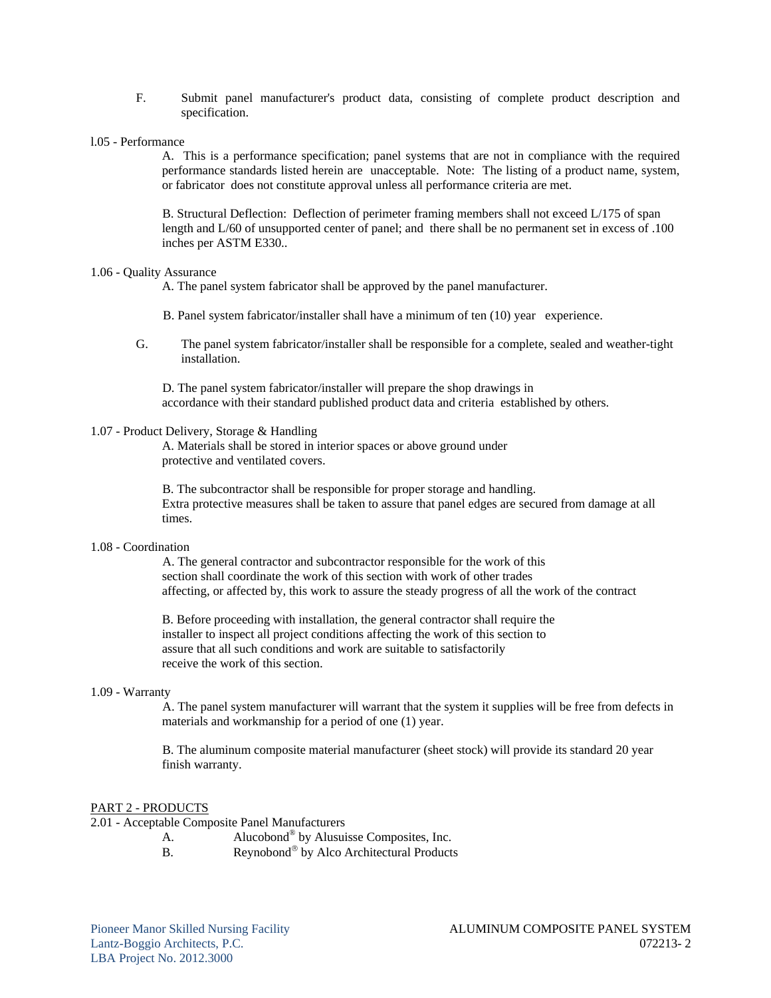- F. Submit panel manufacturer's product data, consisting of complete product description and specification.
- l.05 Performance

A. This is a performance specification; panel systems that are not in compliance with the required performance standards listed herein are unacceptable. Note: The listing of a product name, system, or fabricator does not constitute approval unless all performance criteria are met.

B. Structural Deflection: Deflection of perimeter framing members shall not exceed L/175 of span length and L/60 of unsupported center of panel; and there shall be no permanent set in excess of .100 inches per ASTM E330..

### 1.06 - Quality Assurance

A. The panel system fabricator shall be approved by the panel manufacturer.

- B. Panel system fabricator/installer shall have a minimum of ten (10) year experience.
- G. The panel system fabricator/installer shall be responsible for a complete, sealed and weather-tight installation.

D. The panel system fabricator/installer will prepare the shop drawings in accordance with their standard published product data and criteria established by others.

#### 1.07 - Product Delivery, Storage & Handling

 A. Materials shall be stored in interior spaces or above ground under protective and ventilated covers.

B. The subcontractor shall be responsible for proper storage and handling. Extra protective measures shall be taken to assure that panel edges are secured from damage at all times.

#### 1.08 - Coordination

A. The general contractor and subcontractor responsible for the work of this section shall coordinate the work of this section with work of other trades affecting, or affected by, this work to assure the steady progress of all the work of the contract

 B. Before proceeding with installation, the general contractor shall require the installer to inspect all project conditions affecting the work of this section to assure that all such conditions and work are suitable to satisfactorily receive the work of this section.

### 1.09 - Warranty

A. The panel system manufacturer will warrant that the system it supplies will be free from defects in materials and workmanship for a period of one (1) year.

B. The aluminum composite material manufacturer (sheet stock) will provide its standard 20 year finish warranty.

#### PART 2 - PRODUCTS

2.01 - Acceptable Composite Panel Manufacturers

- A. Alucobond<sup>®</sup> by Alusuisse Composites, Inc.
- B. Reynobond<sup>®</sup> by Alco Architectural Products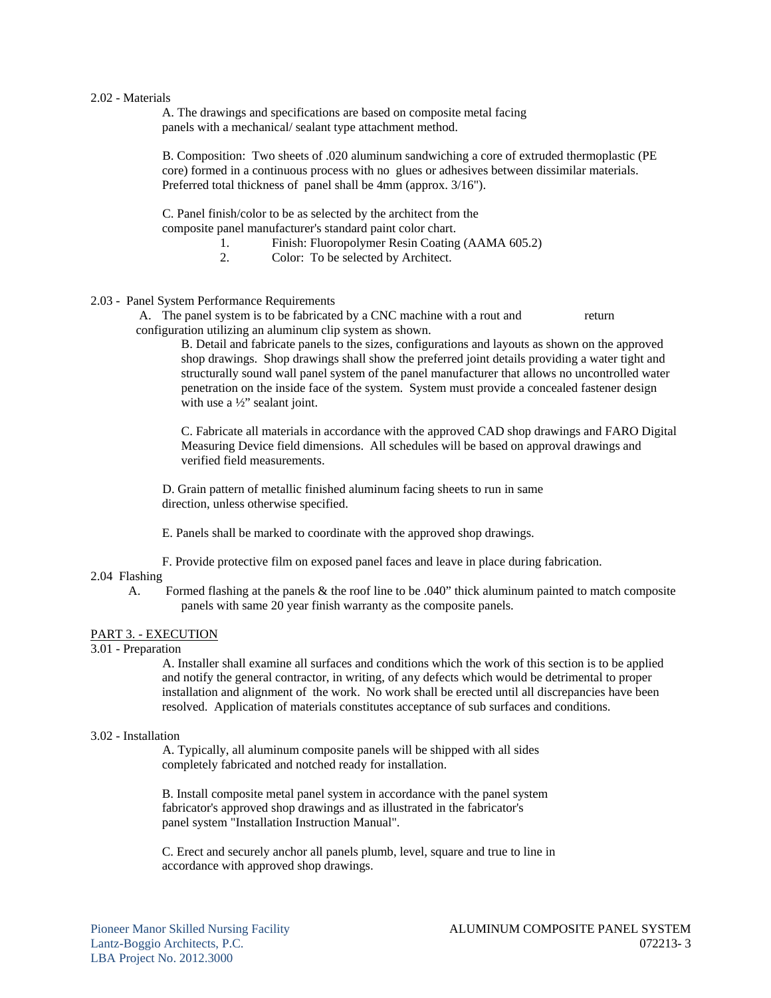### 2.02 - Materials

 A. The drawings and specifications are based on composite metal facing panels with a mechanical/ sealant type attachment method.

B. Composition: Two sheets of .020 aluminum sandwiching a core of extruded thermoplastic (PE core) formed in a continuous process with no glues or adhesives between dissimilar materials. Preferred total thickness of panel shall be 4mm (approx. 3/16").

C. Panel finish/color to be as selected by the architect from the composite panel manufacturer's standard paint color chart.

- 1. Finish: Fluoropolymer Resin Coating (AAMA 605.2)
- 2. Color: To be selected by Architect.

### 2.03 - Panel System Performance Requirements

A. The panel system is to be fabricated by a CNC machine with a rout and return configuration utilizing an aluminum clip system as shown.

 B. Detail and fabricate panels to the sizes, configurations and layouts as shown on the approved shop drawings. Shop drawings shall show the preferred joint details providing a water tight and structurally sound wall panel system of the panel manufacturer that allows no uncontrolled water penetration on the inside face of the system. System must provide a concealed fastener design with use a  $\frac{1}{2}$ " sealant joint.

 C. Fabricate all materials in accordance with the approved CAD shop drawings and FARO Digital Measuring Device field dimensions. All schedules will be based on approval drawings and verified field measurements.

D. Grain pattern of metallic finished aluminum facing sheets to run in same direction, unless otherwise specified.

E. Panels shall be marked to coordinate with the approved shop drawings.

F. Provide protective film on exposed panel faces and leave in place during fabrication.

## 2.04 Flashing

 A. Formed flashing at the panels & the roof line to be .040" thick aluminum painted to match composite panels with same 20 year finish warranty as the composite panels.

### PART 3. - EXECUTION

#### 3.01 - Preparation

A. Installer shall examine all surfaces and conditions which the work of this section is to be applied and notify the general contractor, in writing, of any defects which would be detrimental to proper installation and alignment of the work. No work shall be erected until all discrepancies have been resolved. Application of materials constitutes acceptance of sub surfaces and conditions.

#### 3.02 - Installation

A. Typically, all aluminum composite panels will be shipped with all sides completely fabricated and notched ready for installation.

 B. Install composite metal panel system in accordance with the panel system fabricator's approved shop drawings and as illustrated in the fabricator's panel system "Installation Instruction Manual".

 C. Erect and securely anchor all panels plumb, level, square and true to line in accordance with approved shop drawings.